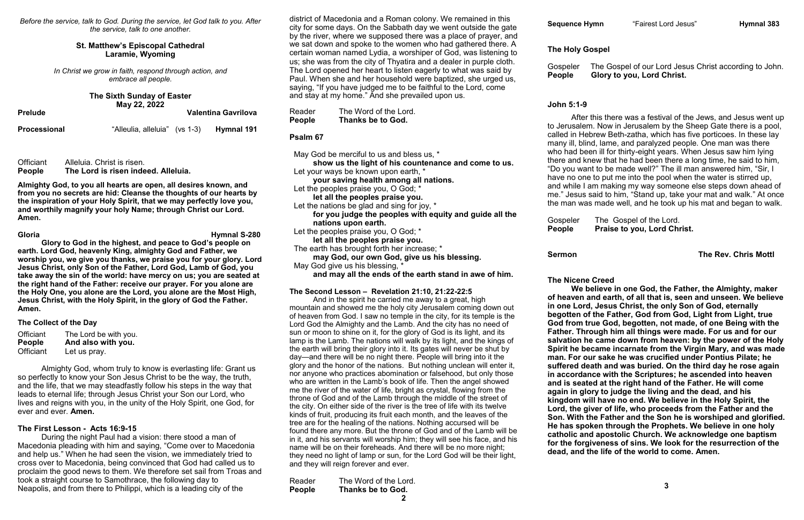*Before the service, talk to God. During the service, let God talk to you. After the service, talk to one another.*

### **St. Matthew's Episcopal Cathedral Laramie, Wyoming**

*In Christ we grow in faith, respond through action, and embrace all people.*

### **The Sixth Sunday of Easter May 22, 2022**

| <b>Prelude</b>      |                               | <b>Valentina Gavrilova</b> |
|---------------------|-------------------------------|----------------------------|
| <b>Processional</b> | "Alleulia, alleluia" (vs 1-3) | Hymnal 191                 |

Officiant Alleluia. Christ is risen. **People The Lord is risen indeed. Alleluia.** 

**Almighty God, to you all hearts are open, all desires known, and from you no secrets are hid: Cleanse the thoughts of our hearts by the inspiration of your Holy Spirit, that we may perfectly love you, and worthily magnify your holy Name; through Christ our Lord. Amen.**

**Gloria Hymnal S-280**

**Glory to God in the highest, and peace to God's people on earth. Lord God, heavenly King, almighty God and Father, we worship you, we give you thanks, we praise you for your glory. Lord Jesus Christ, only Son of the Father, Lord God, Lamb of God, you take away the sin of the world: have mercy on us; you are seated at the right hand of the Father: receive our prayer. For you alone are the Holy One, you alone are the Lord, you alone are the Most High, Jesus Christ, with the Holy Spirit, in the glory of God the Father. Amen.**

## **The Collect of the Day**

| Officiant        | The Lord be with you. |
|------------------|-----------------------|
| <b>People</b>    | And also with you.    |
| <b>Officiant</b> | Let us pray.          |

Almighty God, whom truly to know is everlasting life: Grant us so perfectly to know your Son Jesus Christ to be the way, the truth, and the life, that we may steadfastly follow his steps in the way that leads to eternal life; through Jesus Christ your Son our Lord, who lives and reigns with you, in the unity of the Holy Spirit, one God, for ever and ever. **Amen.** 

# **The First Lesson - Acts 16:9-15**

During the night Paul had a vision: there stood a man of Macedonia pleading with him and saying, "Come over to Macedonia and help us." When he had seen the vision, we immediately tried to cross over to Macedonia, being convinced that God had called us to proclaim the good news to them. We therefore set sail from Troas and took a straight course to Samothrace, the following day to Neapolis, and from there to Philippi, which is a leading city of the

Reader The Word of the Lord. **People Thanks be to God. 2**

district of Macedonia and a Roman colony. We remained in this city for some days. On the Sabbath day we went outside the gate by the river, where we supposed there was a place of prayer, and we sat down and spoke to the women who had gathered there. A certain woman named Lydia, a worshiper of God, was listening to us; she was from the city of Thyatira and a dealer in purple cloth. The Lord opened her heart to listen eagerly to what was said by Paul. When she and her household were baptized, she urged us, saying, "If you have judged me to be faithful to the Lord, come and stay at my home." And she prevailed upon us.

| Reader | The Word of the Lord. |
|--------|-----------------------|
| People | Thanks be to God.     |

# **Psalm 67**

| May God be merciful to us and bless us, *<br>show us the light of his countenance and come to us. |
|---------------------------------------------------------------------------------------------------|
| Let your ways be known upon earth, *                                                              |
| your saving health among all nations.                                                             |
| Let the peoples praise you, O God; *                                                              |
| let all the peoples praise you.                                                                   |
| Let the nations be glad and sing for joy, *                                                       |
| for you judge the peoples with equity and guide all the                                           |
| nations upon earth.                                                                               |
| Let the peoples praise you, O God; *                                                              |
| let all the peoples praise you.                                                                   |
| The earth has brought forth her increase; *                                                       |
| may God, our own God, give us his blessing.                                                       |
| May God give us his blessing, *                                                                   |

**and may all the ends of the earth stand in awe of him.**

# **The Second Lesson – Revelation 21:10, 21:22-22:5**

And in the spirit he carried me away to a great, high mountain and showed me the holy city Jerusalem coming down out of heaven from God. I saw no temple in the city, for its temple is the Lord God the Almighty and the Lamb. And the city has no need of sun or moon to shine on it, for the glory of God is its light, and its lamp is the Lamb. The nations will walk by its light, and the kings of the earth will bring their glory into it. Its gates will never be shut by day—and there will be no night there. People will bring into it the glory and the honor of the nations. But nothing unclean will enter it, nor anyone who practices abomination or falsehood, but only those who are written in the Lamb's book of life. Then the angel showed me the river of the water of life, bright as crystal, flowing from the throne of God and of the Lamb through the middle of the street of the city. On either side of the river is the tree of life with its twelve kinds of fruit, producing its fruit each month, and the leaves of the tree are for the healing of the nations. Nothing accursed will be found there any more. But the throne of God and of the Lamb will be in it, and his servants will worship him; they will see his face, and his name will be on their foreheads. And there will be no more night; they need no light of lamp or sun, for the Lord God will be their light, and they will reign forever and ever.

# **The Holy Gospel**

Gospeler The Gospel of our Lord Jesus Christ according to John. **People Glory to you, Lord Christ.** 

# **John 5:1-9**

After this there was a festival of the Jews, and Jesus went up to Jerusalem. Now in Jerusalem by the Sheep Gate there is a pool, called in Hebrew Beth-zatha, which has five porticoes. In these lay many ill, blind, lame, and paralyzed people. One man was there who had been ill for thirty-eight years. When Jesus saw him lying there and knew that he had been there a long time, he said to him, "Do you want to be made well?" The ill man answered him, "Sir, I have no one to put me into the pool when the water is stirred up, and while I am making my way someone else steps down ahead of me." Jesus said to him, "Stand up, take your mat and walk." At once the man was made well, and he took up his mat and began to walk.

Gospeler The Gospel of the Lord. **People Praise to you, Lord Christ.**

### **Sermon** The Rev. Chris Mottl

**The Nicene Creed We believe in one God, the Father, the Almighty, maker of heaven and earth, of all that is, seen and unseen. We believe in one Lord, Jesus Christ, the only Son of God, eternally begotten of the Father, God from God, Light from Light, true God from true God, begotten, not made, of one Being with the Father. Through him all things were made. For us and for our salvation he came down from heaven: by the power of the Holy Spirit he became incarnate from the Virgin Mary, and was made man. For our sake he was crucified under Pontius Pilate; he suffered death and was buried. On the third day he rose again in accordance with the Scriptures; he ascended into heaven and is seated at the right hand of the Father. He will come again in glory to judge the living and the dead, and his kingdom will have no end. We believe in the Holy Spirit, the Lord, the giver of life, who proceeds from the Father and the Son. With the Father and the Son he is worshiped and glorified. He has spoken through the Prophets. We believe in one holy catholic and apostolic Church. We acknowledge one baptism for the forgiveness of sins. We look for the resurrection of the dead, and the life of the world to come. Amen.**